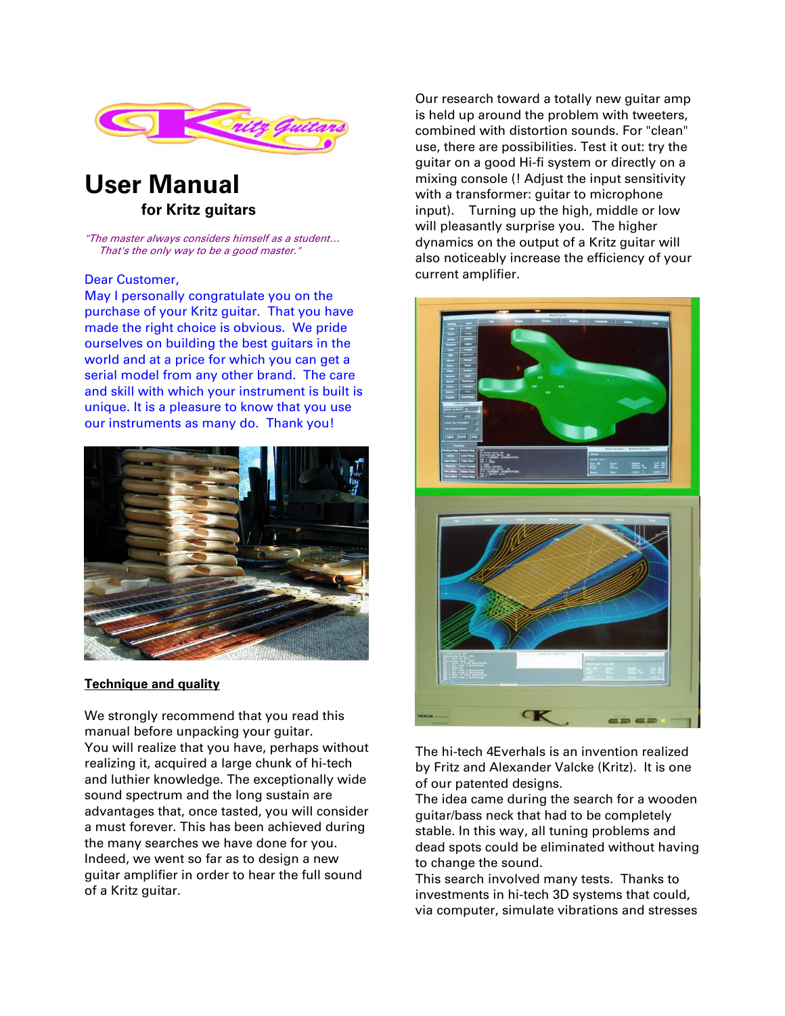

# **User Manual for Kritz guitars**

"The master always considers himself as a student… That's the only way to be a good master."

#### Dear Customer,

May I personally congratulate you on the purchase of your Kritz guitar. That you have made the right choice is obvious. We pride ourselves on building the best guitars in the world and at a price for which you can get a serial model from any other brand. The care and skill with which your instrument is built is unique. It is a pleasure to know that you use our instruments as many do. Thank you!



#### **Technique and quality**

We strongly recommend that you read this manual before unpacking your guitar. You will realize that you have, perhaps without realizing it, acquired a large chunk of hi-tech and luthier knowledge. The exceptionally wide sound spectrum and the long sustain are advantages that, once tasted, you will consider a must forever. This has been achieved during the many searches we have done for you. Indeed, we went so far as to design a new guitar amplifier in order to hear the full sound of a Kritz guitar.

Our research toward a totally new guitar amp is held up around the problem with tweeters, combined with distortion sounds. For "clean" use, there are possibilities. Test it out: try the guitar on a good Hi-fi system or directly on a mixing console (! Adjust the input sensitivity with a transformer: guitar to microphone input). Turning up the high, middle or low will pleasantly surprise you. The higher dynamics on the output of a Kritz guitar will also noticeably increase the efficiency of your current amplifier.



The hi-tech 4Everhals is an invention realized by Fritz and Alexander Valcke (Kritz). It is one of our patented designs.

The idea came during the search for a wooden guitar/bass neck that had to be completely stable. In this way, all tuning problems and dead spots could be eliminated without having to change the sound.

This search involved many tests. Thanks to investments in hi-tech 3D systems that could, via computer, simulate vibrations and stresses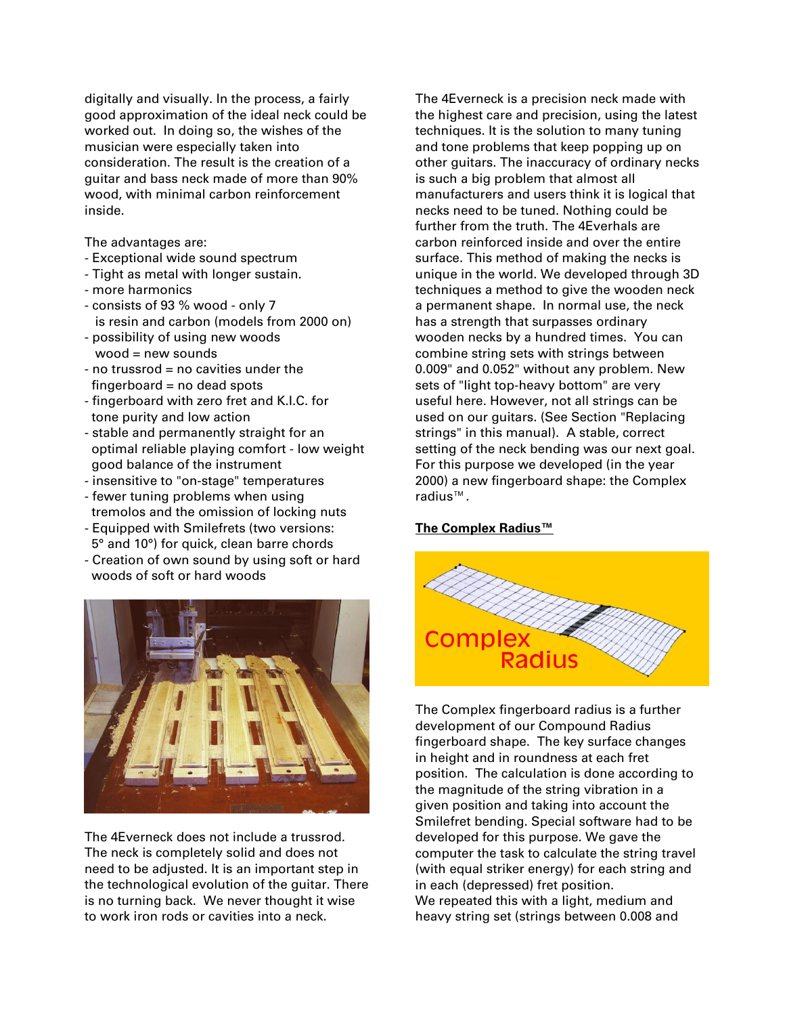digitally and visually. In the process, a fairly good approximation of the ideal neck could be worked out. In doing so, the wishes of the musician were especially taken into consideration. The result is the creation of a guitar and bass neck made of more than 90% wood, with minimal carbon reinforcement inside.

The advantages are:

- Exceptional wide sound spectrum
- Tight as metal with longer sustain.
- more harmonics
- consists of 93 % wood only 7 is resin and carbon (models from 2000 on)
- possibility of using new woods  $wood = new sounds$
- no trussrod = no cavities under the  $fingerboard = no dead spots$
- fingerboard with zero fret and K.I.C. for tone purity and low action
- stable and permanently straight for an optimal reliable playing comfort - low weight good balance of the instrument
- insensitive to "on-stage" temperatures
- fewer tuning problems when using tremolos and the omission of locking nuts - Equipped with Smilefrets (two versions:
- 5° and 10°) for quick, clean barre chords
- Creation of own sound by using soft or hard woods of soft or hard woods



The 4Everneck does not include a trussrod. The neck is completely solid and does not need to be adjusted. It is an important step in the technological evolution of the guitar. There is no turning back. We never thought it wise to work iron rods or cavities into a neck.

The 4Everneck is a precision neck made with the highest care and precision, using the latest techniques. It is the solution to many tuning and tone problems that keep popping up on other guitars. The inaccuracy of ordinary necks is such a big problem that almost all manufacturers and users think it is logical that necks need to be tuned. Nothing could be further from the truth. The 4Everhals are carbon reinforced inside and over the entire surface. This method of making the necks is unique in the world. We developed through 3D techniques a method to give the wooden neck a permanent shape. In normal use, the neck has a strength that surpasses ordinary wooden necks by a hundred times. You can combine string sets with strings between 0.009" and 0.052" without any problem. New sets of "light top-heavy bottom" are very useful here. However, not all strings can be used on our guitars. (See Section "Replacing strings" in this manual). A stable, correct setting of the neck bending was our next goal. For this purpose we developed (in the year 2000) a new fingerboard shape: the Complex radius™.

## **The Complex Radius™**



The Complex fingerboard radius is a further development of our Compound Radius fingerboard shape. The key surface changes in height and in roundness at each fret position. The calculation is done according to the magnitude of the string vibration in a given position and taking into account the Smilefret bending. Special software had to be developed for this purpose. We gave the computer the task to calculate the string travel (with equal striker energy) for each string and in each (depressed) fret position. We repeated this with a light, medium and heavy string set (strings between 0.008 and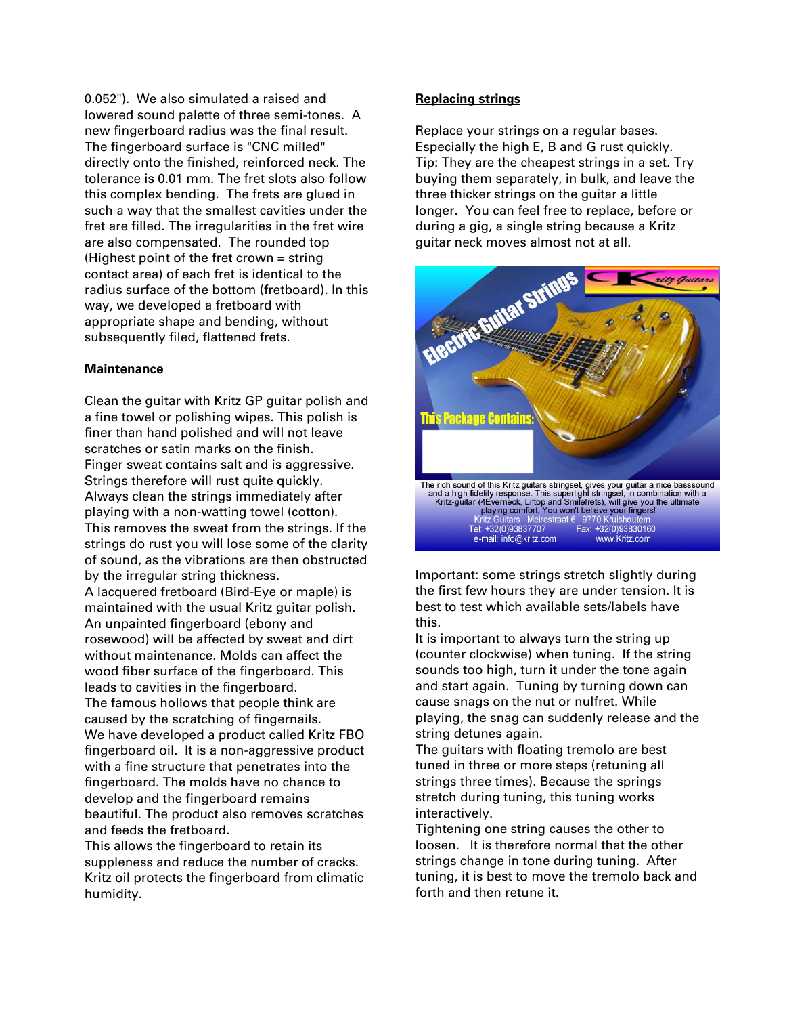0.052"). We also simulated a raised and lowered sound palette of three semi-tones. A new fingerboard radius was the final result. The fingerboard surface is "CNC milled" directly onto the finished, reinforced neck. The tolerance is 0.01 mm. The fret slots also follow this complex bending. The frets are glued in such a way that the smallest cavities under the fret are filled. The irregularities in the fret wire are also compensated. The rounded top (Highest point of the fret crown  $=$  string contact area) of each fret is identical to the radius surface of the bottom (fretboard). In this way, we developed a fretboard with appropriate shape and bending, without subsequently filed, flattened frets.

## **Maintenance**

Clean the guitar with Kritz GP guitar polish and a fine towel or polishing wipes. This polish is finer than hand polished and will not leave scratches or satin marks on the finish. Finger sweat contains salt and is aggressive. Strings therefore will rust quite quickly. Always clean the strings immediately after playing with a non-watting towel (cotton). This removes the sweat from the strings. If the strings do rust you will lose some of the clarity of sound, as the vibrations are then obstructed by the irregular string thickness.

A lacquered fretboard (Bird-Eye or maple) is maintained with the usual Kritz guitar polish. An unpainted fingerboard (ebony and rosewood) will be affected by sweat and dirt without maintenance. Molds can affect the wood fiber surface of the fingerboard. This leads to cavities in the fingerboard. The famous hollows that people think are caused by the scratching of fingernails.

We have developed a product called Kritz FBO fingerboard oil. It is a non-aggressive product with a fine structure that penetrates into the fingerboard. The molds have no chance to develop and the fingerboard remains beautiful. The product also removes scratches and feeds the fretboard.

This allows the fingerboard to retain its suppleness and reduce the number of cracks. Kritz oil protects the fingerboard from climatic humidity.

#### **Replacing strings**

Replace your strings on a regular bases. Especially the high E, B and G rust quickly. Tip: They are the cheapest strings in a set. Try buying them separately, in bulk, and leave the three thicker strings on the guitar a little longer. You can feel free to replace, before or during a gig, a single string because a Kritz guitar neck moves almost not at all.



Important: some strings stretch slightly during the first few hours they are under tension. It is best to test which available sets/labels have this.

It is important to always turn the string up (counter clockwise) when tuning. If the string sounds too high, turn it under the tone again and start again. Tuning by turning down can cause snags on the nut or nulfret. While playing, the snag can suddenly release and the string detunes again.

The guitars with floating tremolo are best tuned in three or more steps (retuning all strings three times). Because the springs stretch during tuning, this tuning works interactively.

Tightening one string causes the other to loosen. It is therefore normal that the other strings change in tone during tuning. After tuning, it is best to move the tremolo back and forth and then retune it.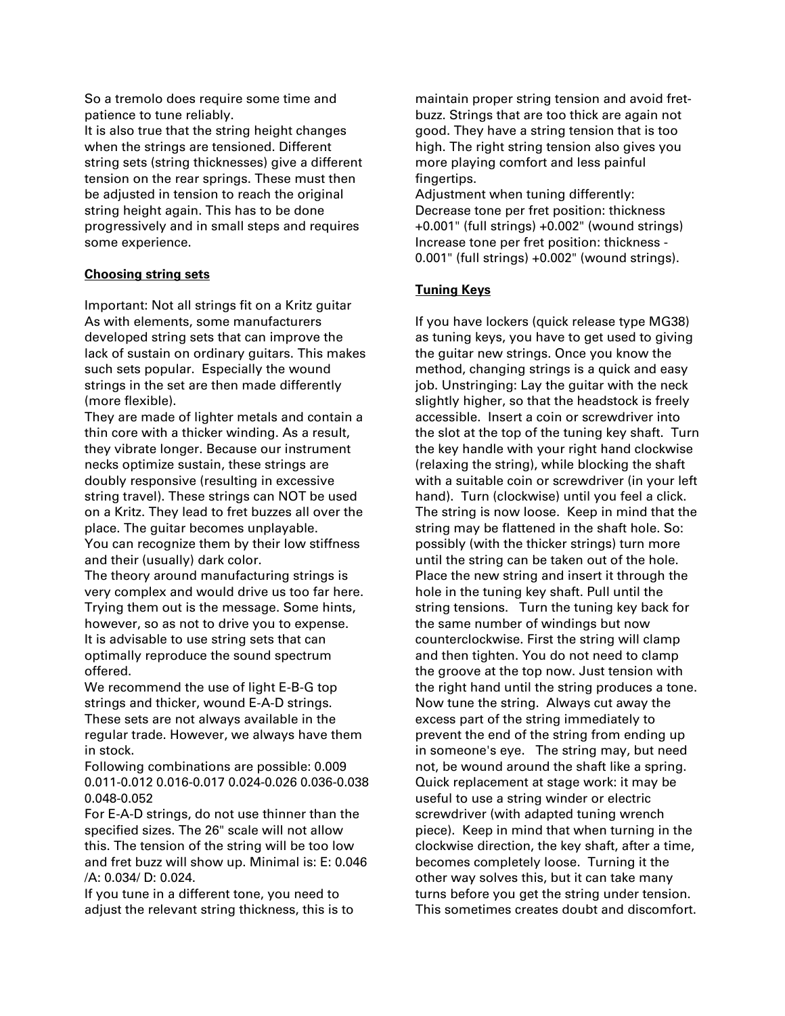So a tremolo does require some time and patience to tune reliably.

It is also true that the string height changes when the strings are tensioned. Different string sets (string thicknesses) give a different tension on the rear springs. These must then be adjusted in tension to reach the original string height again. This has to be done progressively and in small steps and requires some experience.

## **Choosing string sets**

Important: Not all strings fit on a Kritz guitar As with elements, some manufacturers developed string sets that can improve the lack of sustain on ordinary guitars. This makes such sets popular. Especially the wound strings in the set are then made differently (more flexible).

They are made of lighter metals and contain a thin core with a thicker winding. As a result, they vibrate longer. Because our instrument necks optimize sustain, these strings are doubly responsive (resulting in excessive string travel). These strings can NOT be used on a Kritz. They lead to fret buzzes all over the place. The guitar becomes unplayable. You can recognize them by their low stiffness and their (usually) dark color.

The theory around manufacturing strings is very complex and would drive us too far here. Trying them out is the message. Some hints, however, so as not to drive you to expense. It is advisable to use string sets that can optimally reproduce the sound spectrum offered.

We recommend the use of light E-B-G top strings and thicker, wound E-A-D strings. These sets are not always available in the regular trade. However, we always have them in stock.

Following combinations are possible: 0.009 0.011-0.012 0.016-0.017 0.024-0.026 0.036-0.038 0.048-0.052

For E-A-D strings, do not use thinner than the specified sizes. The 26" scale will not allow this. The tension of the string will be too low and fret buzz will show up. Minimal is: E: 0.046 /A: 0.034/ D: 0.024.

If you tune in a different tone, you need to adjust the relevant string thickness, this is to maintain proper string tension and avoid fretbuzz. Strings that are too thick are again not good. They have a string tension that is too high. The right string tension also gives you more playing comfort and less painful fingertips.

Adjustment when tuning differently: Decrease tone per fret position: thickness +0.001" (full strings) +0.002" (wound strings) Increase tone per fret position: thickness - 0.001" (full strings) +0.002" (wound strings).

# **Tuning Keys**

If you have lockers (quick release type MG38) as tuning keys, you have to get used to giving the guitar new strings. Once you know the method, changing strings is a quick and easy job. Unstringing: Lay the guitar with the neck slightly higher, so that the headstock is freely accessible. Insert a coin or screwdriver into the slot at the top of the tuning key shaft. Turn the key handle with your right hand clockwise (relaxing the string), while blocking the shaft with a suitable coin or screwdriver (in your left hand). Turn (clockwise) until you feel a click. The string is now loose. Keep in mind that the string may be flattened in the shaft hole. So: possibly (with the thicker strings) turn more until the string can be taken out of the hole. Place the new string and insert it through the hole in the tuning key shaft. Pull until the string tensions. Turn the tuning key back for the same number of windings but now counterclockwise. First the string will clamp and then tighten. You do not need to clamp the groove at the top now. Just tension with the right hand until the string produces a tone. Now tune the string. Always cut away the excess part of the string immediately to prevent the end of the string from ending up in someone's eye. The string may, but need not, be wound around the shaft like a spring. Quick replacement at stage work: it may be useful to use a string winder or electric screwdriver (with adapted tuning wrench piece). Keep in mind that when turning in the clockwise direction, the key shaft, after a time, becomes completely loose. Turning it the other way solves this, but it can take many turns before you get the string under tension. This sometimes creates doubt and discomfort.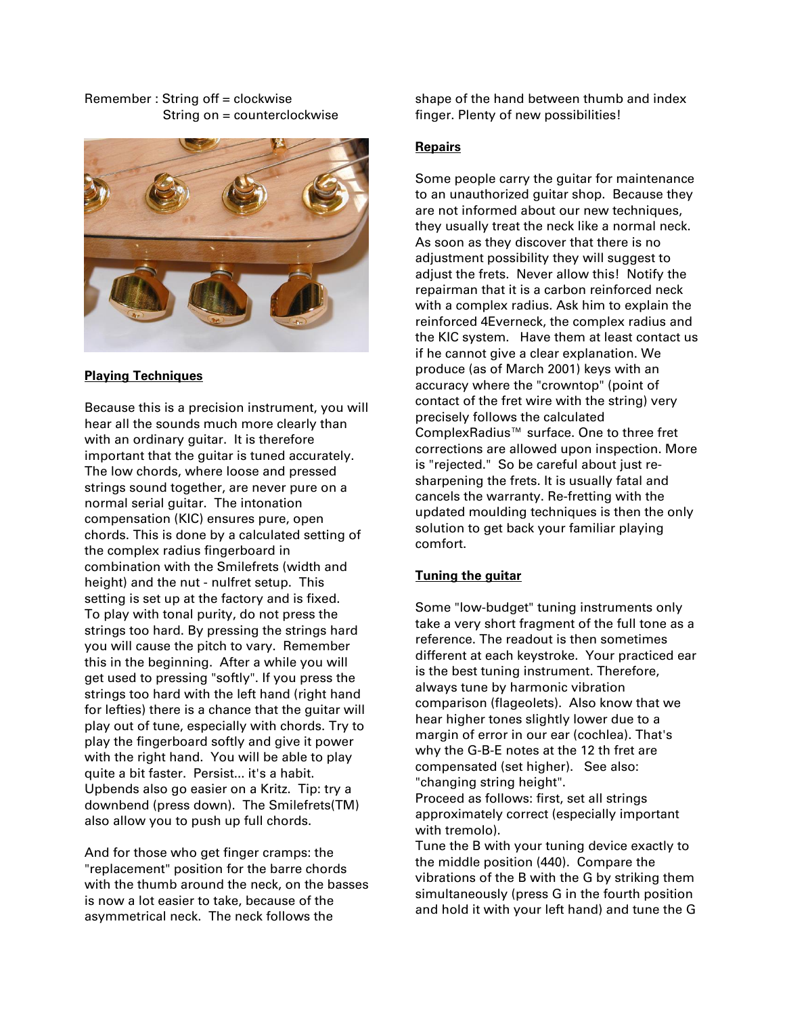#### Remember : String off = clockwise String on = counterclockwise



#### **Playing Techniques**

Because this is a precision instrument, you will hear all the sounds much more clearly than with an ordinary guitar. It is therefore important that the guitar is tuned accurately. The low chords, where loose and pressed strings sound together, are never pure on a normal serial guitar. The intonation compensation (KIC) ensures pure, open chords. This is done by a calculated setting of the complex radius fingerboard in combination with the Smilefrets (width and height) and the nut - nulfret setup. This setting is set up at the factory and is fixed. To play with tonal purity, do not press the strings too hard. By pressing the strings hard you will cause the pitch to vary. Remember this in the beginning. After a while you will get used to pressing "softly". If you press the strings too hard with the left hand (right hand for lefties) there is a chance that the guitar will play out of tune, especially with chords. Try to play the fingerboard softly and give it power with the right hand. You will be able to play quite a bit faster. Persist... it's a habit. Upbends also go easier on a Kritz. Tip: try a downbend (press down). The Smilefrets(TM) also allow you to push up full chords.

And for those who get finger cramps: the "replacement" position for the barre chords with the thumb around the neck, on the basses is now a lot easier to take, because of the asymmetrical neck. The neck follows the

shape of the hand between thumb and index finger. Plenty of new possibilities!

#### **Repairs**

Some people carry the guitar for maintenance to an unauthorized guitar shop. Because they are not informed about our new techniques, they usually treat the neck like a normal neck. As soon as they discover that there is no adjustment possibility they will suggest to adjust the frets. Never allow this! Notify the repairman that it is a carbon reinforced neck with a complex radius. Ask him to explain the reinforced 4Everneck, the complex radius and the KIC system. Have them at least contact us if he cannot give a clear explanation. We produce (as of March 2001) keys with an accuracy where the "crowntop" (point of contact of the fret wire with the string) very precisely follows the calculated ComplexRadius™ surface. One to three fret corrections are allowed upon inspection. More is "rejected." So be careful about just resharpening the frets. It is usually fatal and cancels the warranty. Re-fretting with the updated moulding techniques is then the only solution to get back your familiar playing comfort.

# **Tuning the guitar**

Some "low-budget" tuning instruments only take a very short fragment of the full tone as a reference. The readout is then sometimes different at each keystroke. Your practiced ear is the best tuning instrument. Therefore, always tune by harmonic vibration comparison (flageolets). Also know that we hear higher tones slightly lower due to a margin of error in our ear (cochlea). That's why the G-B-E notes at the 12 th fret are compensated (set higher). See also: "changing string height".

Proceed as follows: first, set all strings approximately correct (especially important with tremolo).

Tune the B with your tuning device exactly to the middle position (440). Compare the vibrations of the B with the G by striking them simultaneously (press G in the fourth position and hold it with your left hand) and tune the G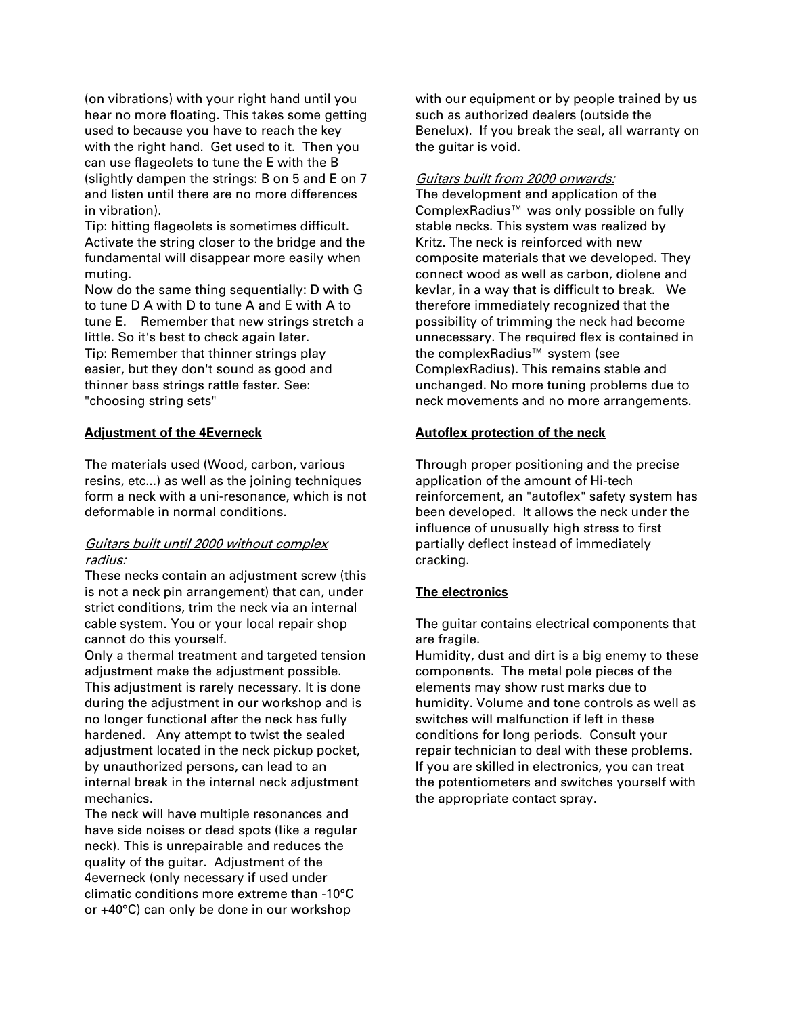(on vibrations) with your right hand until you hear no more floating. This takes some getting used to because you have to reach the key with the right hand. Get used to it. Then you can use flageolets to tune the E with the B (slightly dampen the strings: B on 5 and E on 7 and listen until there are no more differences in vibration).

Tip: hitting flageolets is sometimes difficult. Activate the string closer to the bridge and the fundamental will disappear more easily when muting.

Now do the same thing sequentially: D with G to tune D A with D to tune A and E with A to tune E. Remember that new strings stretch a little. So it's best to check again later. Tip: Remember that thinner strings play

easier, but they don't sound as good and thinner bass strings rattle faster. See: "choosing string sets"

## **Adjustment of the 4Everneck**

The materials used (Wood, carbon, various resins, etc...) as well as the joining techniques form a neck with a uni-resonance, which is not deformable in normal conditions.

## Guitars built until 2000 without complex radius:

These necks contain an adjustment screw (this is not a neck pin arrangement) that can, under strict conditions, trim the neck via an internal cable system. You or your local repair shop cannot do this yourself.

Only a thermal treatment and targeted tension adjustment make the adjustment possible. This adjustment is rarely necessary. It is done during the adjustment in our workshop and is no longer functional after the neck has fully hardened. Any attempt to twist the sealed adjustment located in the neck pickup pocket, by unauthorized persons, can lead to an internal break in the internal neck adjustment mechanics.

The neck will have multiple resonances and have side noises or dead spots (like a regular neck). This is unrepairable and reduces the quality of the guitar. Adjustment of the 4everneck (only necessary if used under climatic conditions more extreme than -10°C or +40°C) can only be done in our workshop

with our equipment or by people trained by us such as authorized dealers (outside the Benelux). If you break the seal, all warranty on the guitar is void.

#### Guitars built from 2000 onwards:

The development and application of the ComplexRadius™ was only possible on fully stable necks. This system was realized by Kritz. The neck is reinforced with new composite materials that we developed. They connect wood as well as carbon, diolene and kevlar, in a way that is difficult to break. We therefore immediately recognized that the possibility of trimming the neck had become unnecessary. The required flex is contained in the complexRadius<sup>™</sup> system (see ComplexRadius). This remains stable and unchanged. No more tuning problems due to neck movements and no more arrangements.

## **Autoflex protection of the neck**

Through proper positioning and the precise application of the amount of Hi-tech reinforcement, an "autoflex" safety system has been developed. It allows the neck under the influence of unusually high stress to first partially deflect instead of immediately cracking.

## **The electronics**

The guitar contains electrical components that are fragile.

Humidity, dust and dirt is a big enemy to these components. The metal pole pieces of the elements may show rust marks due to humidity. Volume and tone controls as well as switches will malfunction if left in these conditions for long periods. Consult your repair technician to deal with these problems. If you are skilled in electronics, you can treat the potentiometers and switches yourself with the appropriate contact spray.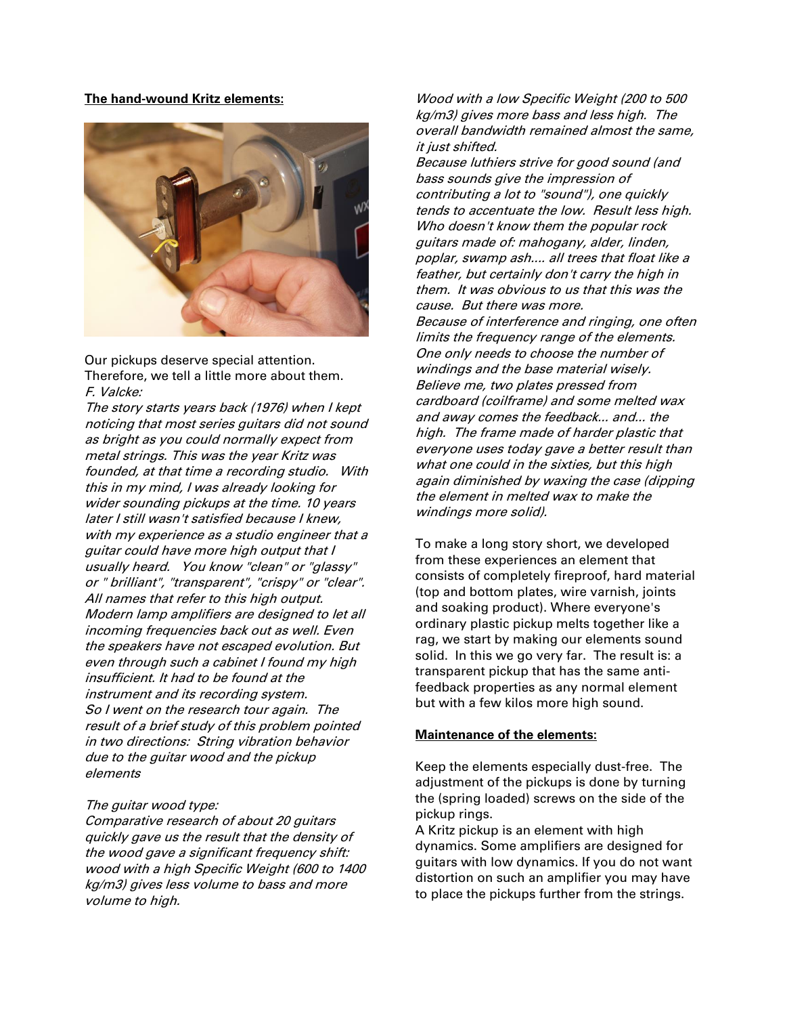**The hand-wound Kritz elements:**



Our pickups deserve special attention. Therefore, we tell a little more about them. F. Valcke:

The story starts years back (1976) when I kept noticing that most series guitars did not sound as bright as you could normally expect from metal strings. This was the year Kritz was founded, at that time a recording studio. With this in my mind, I was already looking for wider sounding pickups at the time. 10 years later I still wasn't satisfied because I knew, with my experience as a studio engineer that a guitar could have more high output that I usually heard. You know "clean" or "glassy" or " brilliant", "transparent", "crispy" or "clear". All names that refer to this high output. Modern lamp amplifiers are designed to let all incoming frequencies back out as well. Even the speakers have not escaped evolution. But even through such a cabinet I found my high insufficient. It had to be found at the instrument and its recording system. So I went on the research tour again. The result of a brief study of this problem pointed in two directions: String vibration behavior due to the guitar wood and the pickup elements

#### The guitar wood type:

Comparative research of about 20 guitars quickly gave us the result that the density of the wood gave a significant frequency shift: wood with a high Specific Weight (600 to 1400 kg/m3) gives less volume to bass and more volume to high.

Wood with a low Specific Weight (200 to 500 kg/m3) gives more bass and less high. The overall bandwidth remained almost the same, it just shifted.

Because luthiers strive for good sound (and bass sounds give the impression of contributing a lot to "sound"), one quickly tends to accentuate the low. Result less high. Who doesn't know them the popular rock guitars made of: mahogany, alder, linden, poplar, swamp ash.... all trees that float like a feather, but certainly don't carry the high in them. It was obvious to us that this was the cause. But there was more. Because of interference and ringing, one often limits the frequency range of the elements. One only needs to choose the number of windings and the base material wisely. Believe me, two plates pressed from cardboard (coilframe) and some melted wax and away comes the feedback... and... the high. The frame made of harder plastic that everyone uses today gave a better result than what one could in the sixties, but this high again diminished by waxing the case (dipping the element in melted wax to make the windings more solid).

To make a long story short, we developed from these experiences an element that consists of completely fireproof, hard material (top and bottom plates, wire varnish, joints and soaking product). Where everyone's ordinary plastic pickup melts together like a rag, we start by making our elements sound solid. In this we go very far. The result is: a transparent pickup that has the same antifeedback properties as any normal element but with a few kilos more high sound.

#### **Maintenance of the elements:**

Keep the elements especially dust-free. The adjustment of the pickups is done by turning the (spring loaded) screws on the side of the pickup rings.

A Kritz pickup is an element with high dynamics. Some amplifiers are designed for guitars with low dynamics. If you do not want distortion on such an amplifier you may have to place the pickups further from the strings.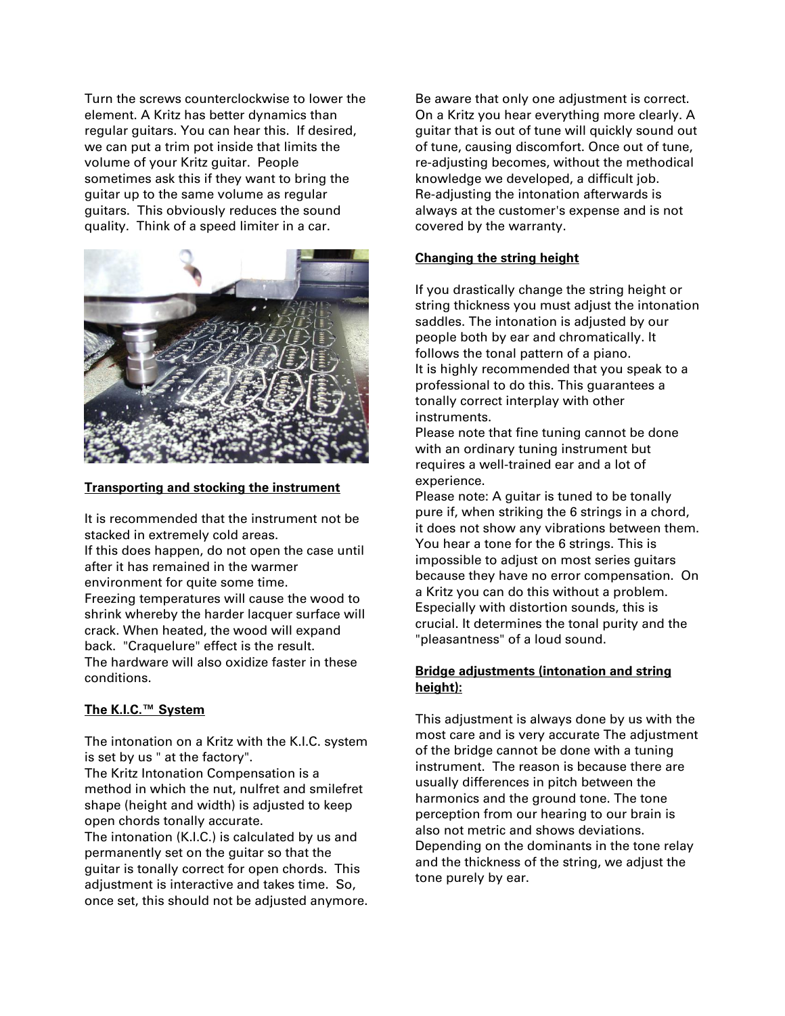Turn the screws counterclockwise to lower the element. A Kritz has better dynamics than regular guitars. You can hear this. If desired, we can put a trim pot inside that limits the volume of your Kritz guitar. People sometimes ask this if they want to bring the guitar up to the same volume as regular guitars. This obviously reduces the sound quality. Think of a speed limiter in a car.



#### **Transporting and stocking the instrument**

It is recommended that the instrument not be stacked in extremely cold areas. If this does happen, do not open the case until after it has remained in the warmer environment for quite some time. Freezing temperatures will cause the wood to shrink whereby the harder lacquer surface will crack. When heated, the wood will expand back. "Craquelure" effect is the result. The hardware will also oxidize faster in these conditions.

## **The K.I.C.™ System**

The intonation on a Kritz with the K.I.C. system is set by us " at the factory". The Kritz Intonation Compensation is a

method in which the nut, nulfret and smilefret shape (height and width) is adjusted to keep open chords tonally accurate. The intonation (K.I.C.) is calculated by us and

permanently set on the guitar so that the guitar is tonally correct for open chords. This adjustment is interactive and takes time. So, once set, this should not be adjusted anymore. Be aware that only one adjustment is correct. On a Kritz you hear everything more clearly. A guitar that is out of tune will quickly sound out of tune, causing discomfort. Once out of tune, re-adjusting becomes, without the methodical knowledge we developed, a difficult job. Re-adjusting the intonation afterwards is always at the customer's expense and is not covered by the warranty.

#### **Changing the string height**

If you drastically change the string height or string thickness you must adjust the intonation saddles. The intonation is adjusted by our people both by ear and chromatically. It follows the tonal pattern of a piano. It is highly recommended that you speak to a professional to do this. This guarantees a tonally correct interplay with other instruments.

Please note that fine tuning cannot be done with an ordinary tuning instrument but requires a well-trained ear and a lot of experience.

Please note: A guitar is tuned to be tonally pure if, when striking the 6 strings in a chord, it does not show any vibrations between them. You hear a tone for the 6 strings. This is impossible to adjust on most series guitars because they have no error compensation. On a Kritz you can do this without a problem. Especially with distortion sounds, this is crucial. It determines the tonal purity and the "pleasantness" of a loud sound.

## **Bridge adjustments (intonation and string height):**

This adjustment is always done by us with the most care and is very accurate The adjustment of the bridge cannot be done with a tuning instrument. The reason is because there are usually differences in pitch between the harmonics and the ground tone. The tone perception from our hearing to our brain is also not metric and shows deviations. Depending on the dominants in the tone relay and the thickness of the string, we adjust the tone purely by ear.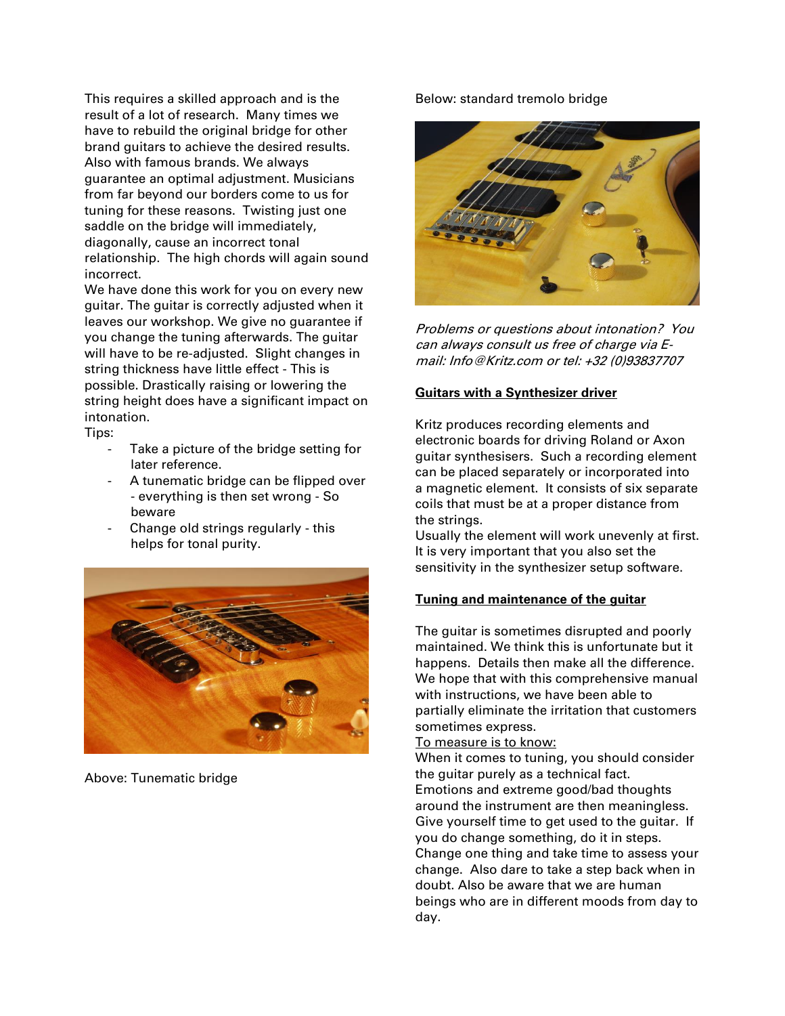This requires a skilled approach and is the result of a lot of research. Many times we have to rebuild the original bridge for other brand guitars to achieve the desired results. Also with famous brands. We always guarantee an optimal adjustment. Musicians from far beyond our borders come to us for tuning for these reasons. Twisting just one saddle on the bridge will immediately, diagonally, cause an incorrect tonal relationship. The high chords will again sound incorrect.

We have done this work for you on every new guitar. The guitar is correctly adjusted when it leaves our workshop. We give no guarantee if you change the tuning afterwards. The guitar will have to be re-adjusted. Slight changes in string thickness have little effect - This is possible. Drastically raising or lowering the string height does have a significant impact on intonation.

Tips:

- Take a picture of the bridge setting for later reference.
- A tunematic bridge can be flipped over - everything is then set wrong - So beware
- Change old strings regularly this helps for tonal purity.



Above: Tunematic bridge

## Below: standard tremolo bridge



Problems or questions about intonation? You can always consult us free of charge via Email: Info@Kritz.com or tel: +32 (0)93837707

## **Guitars with a Synthesizer driver**

Kritz produces recording elements and electronic boards for driving Roland or Axon guitar synthesisers. Such a recording element can be placed separately or incorporated into a magnetic element. It consists of six separate coils that must be at a proper distance from the strings.

Usually the element will work unevenly at first. It is very important that you also set the sensitivity in the synthesizer setup software.

# **Tuning and maintenance of the guitar**

The guitar is sometimes disrupted and poorly maintained. We think this is unfortunate but it happens. Details then make all the difference. We hope that with this comprehensive manual with instructions, we have been able to partially eliminate the irritation that customers sometimes express.

## To measure is to know:

When it comes to tuning, you should consider the guitar purely as a technical fact. Emotions and extreme good/bad thoughts around the instrument are then meaningless. Give yourself time to get used to the guitar. If you do change something, do it in steps. Change one thing and take time to assess your change. Also dare to take a step back when in doubt. Also be aware that we are human beings who are in different moods from day to day.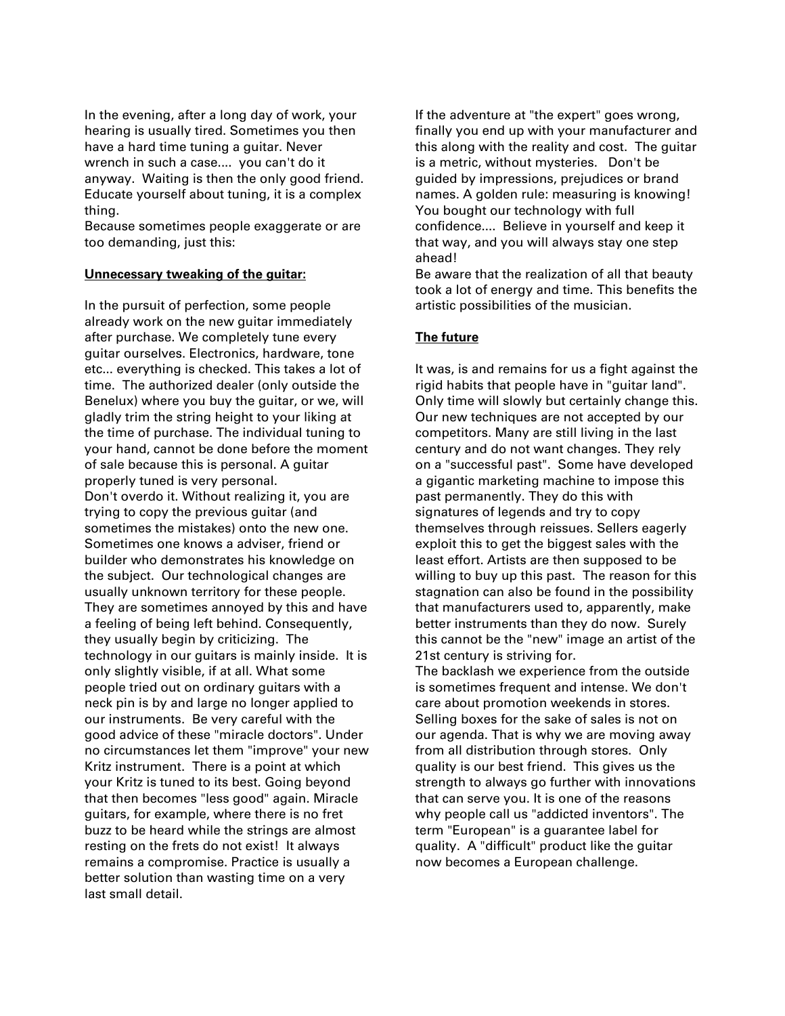In the evening, after a long day of work, your hearing is usually tired. Sometimes you then have a hard time tuning a guitar. Never wrench in such a case.... you can't do it anyway. Waiting is then the only good friend. Educate yourself about tuning, it is a complex thing.

Because sometimes people exaggerate or are too demanding, just this:

## **Unnecessary tweaking of the guitar:**

In the pursuit of perfection, some people already work on the new guitar immediately after purchase. We completely tune every guitar ourselves. Electronics, hardware, tone etc... everything is checked. This takes a lot of time. The authorized dealer (only outside the Benelux) where you buy the guitar, or we, will gladly trim the string height to your liking at the time of purchase. The individual tuning to your hand, cannot be done before the moment of sale because this is personal. A guitar properly tuned is very personal. Don't overdo it. Without realizing it, you are trying to copy the previous guitar (and sometimes the mistakes) onto the new one. Sometimes one knows a adviser, friend or builder who demonstrates his knowledge on the subject. Our technological changes are usually unknown territory for these people. They are sometimes annoyed by this and have a feeling of being left behind. Consequently, they usually begin by criticizing. The technology in our guitars is mainly inside. It is only slightly visible, if at all. What some people tried out on ordinary guitars with a neck pin is by and large no longer applied to our instruments. Be very careful with the good advice of these "miracle doctors". Under no circumstances let them "improve" your new Kritz instrument. There is a point at which your Kritz is tuned to its best. Going beyond that then becomes "less good" again. Miracle guitars, for example, where there is no fret buzz to be heard while the strings are almost resting on the frets do not exist! It always remains a compromise. Practice is usually a better solution than wasting time on a very last small detail.

If the adventure at "the expert" goes wrong, finally you end up with your manufacturer and this along with the reality and cost. The guitar is a metric, without mysteries. Don't be guided by impressions, prejudices or brand names. A golden rule: measuring is knowing! You bought our technology with full confidence.... Believe in yourself and keep it that way, and you will always stay one step ahead!

Be aware that the realization of all that beauty took a lot of energy and time. This benefits the artistic possibilities of the musician.

# **The future**

It was, is and remains for us a fight against the rigid habits that people have in "guitar land". Only time will slowly but certainly change this. Our new techniques are not accepted by our competitors. Many are still living in the last century and do not want changes. They rely on a "successful past". Some have developed a gigantic marketing machine to impose this past permanently. They do this with signatures of legends and try to copy themselves through reissues. Sellers eagerly exploit this to get the biggest sales with the least effort. Artists are then supposed to be willing to buy up this past. The reason for this stagnation can also be found in the possibility that manufacturers used to, apparently, make better instruments than they do now. Surely this cannot be the "new" image an artist of the 21st century is striving for.

The backlash we experience from the outside is sometimes frequent and intense. We don't care about promotion weekends in stores. Selling boxes for the sake of sales is not on our agenda. That is why we are moving away from all distribution through stores. Only quality is our best friend. This gives us the strength to always go further with innovations that can serve you. It is one of the reasons why people call us "addicted inventors". The term "European" is a guarantee label for quality. A "difficult" product like the guitar now becomes a European challenge.